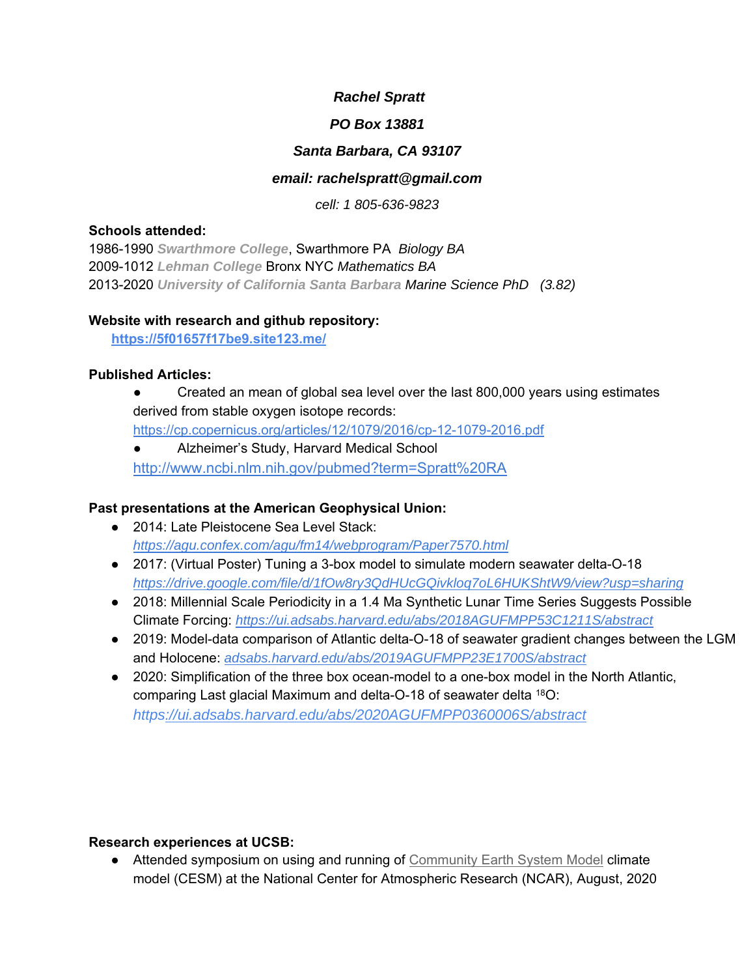# *Rachel Spratt*

#### *PO Box 13881*

# *Santa Barbara, CA 93107*

#### *email: rachelspratt@gmail.com*

*cell: 1 805-636-9823*

#### **Schools attended:**

1986-1990 *Swarthmore College*, Swarthmore PA *Biology BA*  2009-1012 *Lehman College* Bronx NYC *Mathematics BA* 2013-2020 *University of California Santa Barbara Marine Science PhD (3.82)* 

#### **Website with research and github repository:**

 **https://5f01657f17be9.site123.me/** 

## **Published Articles:**

- Created an mean of global sea level over the last 800,000 years using estimates derived from stable oxygen isotope records: https://cp.copernicus.org/articles/12/1079/2016/cp-12-1079-2016.pdf
- Alzheimer's Study, Harvard Medical School http://www.ncbi.nlm.nih.gov/pubmed?term=Spratt%20RA

## **Past presentations at the American Geophysical Union:**

- 2014: Late Pleistocene Sea Level Stack: *https://agu.confex.com/agu/fm14/webprogram/Paper7570.html*
- 2017: (Virtual Poster) Tuning a 3-box model to simulate modern seawater delta-O-18 *https://drive.google.com/file/d/1fOw8ry3QdHUcGQivkloq7oL6HUKShtW9/view?usp=sharing*
- 2018: Millennial Scale Periodicity in a 1.4 Ma Synthetic Lunar Time Series Suggests Possible Climate Forcing: *https://ui.adsabs.harvard.edu/abs/2018AGUFMPP53C1211S/abstract*
- 2019: Model-data comparison of Atlantic delta-O-18 of seawater gradient changes between the LGM and Holocene: *adsabs.harvard.edu/abs/2019AGUFMPP23E1700S/abstract*
- 2020: Simplification of the three box ocean-model to a one-box model in the North Atlantic, comparing Last glacial Maximum and delta-O-18 of seawater delta 18O: *https://ui.adsabs.harvard.edu/abs/2020AGUFMPP0360006S/abstract*

## **Research experiences at UCSB:**

● Attended symposium on using and running of Community Earth System Model climate model (CESM) at the National Center for Atmospheric Research (NCAR), August, 2020